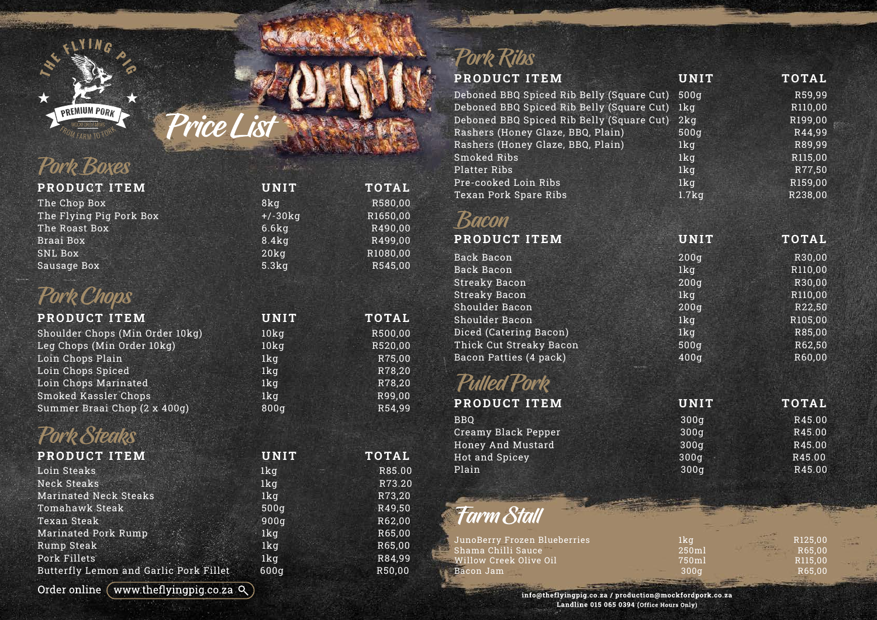

# Price List

### Pork Boxes

| PRODUCT ITEM            | <b>UNIT</b>      | <b>TOTAL</b> |
|-------------------------|------------------|--------------|
| The Chop Box            | 8kg              | R580,00      |
| The Flying Pig Pork Box | $+/-30kq$        | R1650,00     |
| The Roast Box           | 6.6kg            | R490,00      |
| Braai Box               | 8.4kg            | R499,00      |
| SNL Box                 | 20 <sub>kq</sub> | R1080,00     |
| Sausage Box             | 5.3kg            | R545,00      |

### Pork Chops

| <b>PRODUCT ITEM</b>             | <b>UNIT</b>      | <b>TOTAL</b> |
|---------------------------------|------------------|--------------|
| Shoulder Chops (Min Order 10kg) | 10 <sub>kq</sub> | R500,00      |
| Leg Chops (Min Order 10kg)      | 10 <sub>kq</sub> | R520,00      |
| Loin Chops Plain                | 1 <sub>kq</sub>  | R75,00       |
| Loin Chops Spiced               | 1 <sub>kq</sub>  | R78,20       |
| Loin Chops Marinated            | 1 <sub>k</sub> q | R78,20       |
| Smoked Kassler Chops            | 1 <sub>kq</sub>  | R99,00       |
| Summer Braai Chop (2 x 400g)    | 800g             | R54,99       |

### Pork Steaks

| PRODUCT ITEM                           | <b>UNIT</b>      | <b>TOTAL</b> |
|----------------------------------------|------------------|--------------|
| Loin Steaks                            | 1 <sub>k</sub> q | R85.00       |
| Neck Steaks                            | 1kg              | R73.20       |
| <b>Marinated Neck Steaks</b>           | 1 <sub>kq</sub>  | R73,20       |
| Tomahawk Steak                         | 500q             | R49,50       |
| Texan Steak                            | 900q             | R62,00       |
| Marinated Pork Rump                    | 1 <sub>kq</sub>  | R65,00       |
| Rump Steak                             | 1kg              | R65,00       |
| Pork Fillets                           | 1 <sub>kq</sub>  | R84,99       |
| Butterfly Lemon and Garlic Pork Fillet | 600q             | R50,00       |

#### Order online (www.theflyingpig.co.za  $Q$ )

### Pork Ribs

| <b>PRODUCT ITEM</b>                       | <b>UNIT</b>     | <b>TOTAL</b> |
|-------------------------------------------|-----------------|--------------|
| Deboned BBQ Spiced Rib Belly (Square Cut) | 500g            | R59,99       |
| Deboned BBQ Spiced Rib Belly (Square Cut) | 1kg             | R110,00      |
| Deboned BBQ Spiced Rib Belly (Square Cut) | 2kg             | R199,00      |
| Rashers (Honey Glaze, BBQ, Plain)         | 500q            | R44,99       |
| Rashers (Honey Glaze, BBQ, Plain)         | 1kg             | R89,99       |
| <b>Smoked Ribs</b>                        | 1kg             | R115,00      |
| <b>Platter Ribs</b>                       | 1kg             | R77,50       |
| Pre-cooked Loin Ribs                      | 1kg             | R159,00      |
| Texan Pork Spare Ribs                     | 1.7kg           | R238,00      |
|                                           |                 |              |
| <b>Bacon</b>                              |                 |              |
| PRODUCT ITEM                              | <b>UNIT</b>     | <b>TOTAL</b> |
| <b>Back Bacon</b>                         | 200q            | R30,00       |
| <b>Back Bacon</b>                         | 1kg             | R110,00      |
| <b>Streaky Bacon</b>                      | 200q            | R30,00       |
| <b>Streaky Bacon</b>                      | 1kg             | R110,00      |
| Shoulder Bacon                            | 200q            | R22,50       |
| Shoulder Bacon                            | 1kg             | R105,00      |
| Diced (Catering Bacon)                    | 1 <sub>kq</sub> | R85,00       |
| Thick Cut Streaky Bacon                   | 500g            | R62,50       |
| Bacon Patties (4 pack)                    | 400q            | R60,00       |
| <b>Pulled Pork</b>                        |                 |              |
| PRODUCT ITEM                              | <b>UNIT</b>     | <b>TOTAL</b> |
| <b>BBO</b>                                | 300q            | R45.00       |
| Creamy Black Pepper                       | 300q            | R45.00       |
| Honey And Mustard                         | 300g            | R45.00       |
| <b>Hot and Spicey</b>                     | 300q            | R45.00       |
| Plain                                     | 300q            | R45.00       |

### Farm Stall

| JunoBerry Frozen Blueberries                     | 1ka   |         | R <sub>125.00</sub> |  |
|--------------------------------------------------|-------|---------|---------------------|--|
| $\blacksquare$ Shama Chilli Sauce $\blacksquare$ | 250ml | $-2425$ | R65.00              |  |
| Willow Creek Olive Oil                           | 750ml |         | R <sub>115.00</sub> |  |
| Bacon Jam                                        | 300ი  |         | R65.00              |  |
|                                                  |       |         |                     |  |